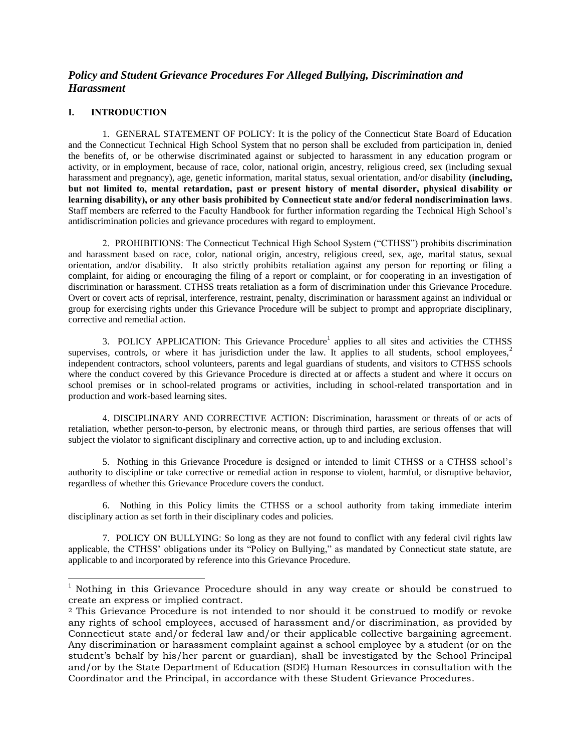# *Policy and Student Grievance Procedures For Alleged Bullying, Discrimination and Harassment*

### **I. INTRODUCTION**

 $\overline{a}$ 

1. GENERAL STATEMENT OF POLICY: It is the policy of the Connecticut State Board of Education and the Connecticut Technical High School System that no person shall be excluded from participation in, denied the benefits of, or be otherwise discriminated against or subjected to harassment in any education program or activity, or in employment, because of race, color, national origin, ancestry, religious creed, sex (including sexual harassment and pregnancy), age, genetic information, marital status, sexual orientation, and/or disability **(including, but not limited to, mental retardation, past or present history of mental disorder, physical disability or learning disability), or any other basis prohibited by Connecticut state and/or federal nondiscrimination laws**. Staff members are referred to the Faculty Handbook for further information regarding the Technical High School's antidiscrimination policies and grievance procedures with regard to employment.

2. PROHIBITIONS: The Connecticut Technical High School System ("CTHSS") prohibits discrimination and harassment based on race, color, national origin, ancestry, religious creed, sex, age, marital status, sexual orientation, and/or disability. It also strictly prohibits retaliation against any person for reporting or filing a complaint, for aiding or encouraging the filing of a report or complaint, or for cooperating in an investigation of discrimination or harassment. CTHSS treats retaliation as a form of discrimination under this Grievance Procedure. Overt or covert acts of reprisal, interference, restraint, penalty, discrimination or harassment against an individual or group for exercising rights under this Grievance Procedure will be subject to prompt and appropriate disciplinary, corrective and remedial action.

3. POLICY APPLICATION: This Grievance Procedure<sup>1</sup> applies to all sites and activities the CTHSS supervises, controls, or where it has jurisdiction under the law. It applies to all students, school employees,<sup>2</sup> independent contractors, school volunteers, parents and legal guardians of students, and visitors to CTHSS schools where the conduct covered by this Grievance Procedure is directed at or affects a student and where it occurs on school premises or in school-related programs or activities, including in school-related transportation and in production and work-based learning sites.

4. DISCIPLINARY AND CORRECTIVE ACTION: Discrimination, harassment or threats of or acts of retaliation, whether person-to-person, by electronic means, or through third parties, are serious offenses that will subject the violator to significant disciplinary and corrective action, up to and including exclusion.

5. Nothing in this Grievance Procedure is designed or intended to limit CTHSS or a CTHSS school's authority to discipline or take corrective or remedial action in response to violent, harmful, or disruptive behavior, regardless of whether this Grievance Procedure covers the conduct.

6. Nothing in this Policy limits the CTHSS or a school authority from taking immediate interim disciplinary action as set forth in their disciplinary codes and policies.

7.POLICY ON BULLYING: So long as they are not found to conflict with any federal civil rights law applicable, the CTHSS' obligations under its "Policy on Bullying," as mandated by Connecticut state statute, are applicable to and incorporated by reference into this Grievance Procedure.

 $1$  Nothing in this Grievance Procedure should in any way create or should be construed to create an express or implied contract.

<sup>&</sup>lt;sup>2</sup> This Grievance Procedure is not intended to nor should it be construed to modify or revoke any rights of school employees, accused of harassment and/or discrimination, as provided by Connecticut state and/or federal law and/or their applicable collective bargaining agreement. Any discrimination or harassment complaint against a school employee by a student (or on the student's behalf by his/her parent or guardian), shall be investigated by the School Principal and/or by the State Department of Education (SDE) Human Resources in consultation with the Coordinator and the Principal, in accordance with these Student Grievance Procedures.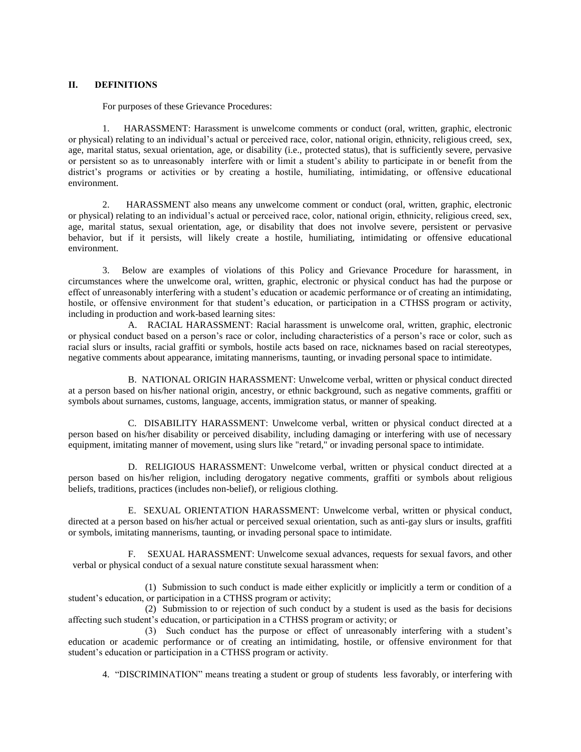#### **II. DEFINITIONS**

For purposes of these Grievance Procedures:

1. HARASSMENT: Harassment is unwelcome comments or conduct (oral, written, graphic, electronic or physical) relating to an individual's actual or perceived race, color, national origin, ethnicity, religious creed, sex, age, marital status, sexual orientation, age, or disability (i.e., protected status), that is sufficiently severe, pervasive or persistent so as to unreasonably interfere with or limit a student's ability to participate in or benefit from the district's programs or activities or by creating a hostile, humiliating, intimidating, or offensive educational environment.

2. HARASSMENT also means any unwelcome comment or conduct (oral, written, graphic, electronic or physical) relating to an individual's actual or perceived race, color, national origin, ethnicity, religious creed, sex, age, marital status, sexual orientation, age, or disability that does not involve severe, persistent or pervasive behavior, but if it persists, will likely create a hostile, humiliating, intimidating or offensive educational environment.

3. Below are examples of violations of this Policy and Grievance Procedure for harassment, in circumstances where the unwelcome oral, written, graphic, electronic or physical conduct has had the purpose or effect of unreasonably interfering with a student's education or academic performance or of creating an intimidating, hostile, or offensive environment for that student's education, or participation in a CTHSS program or activity, including in production and work-based learning sites:

A. RACIAL HARASSMENT: Racial harassment is unwelcome oral, written, graphic, electronic or physical conduct based on a person's race or color, including characteristics of a person's race or color, such as racial slurs or insults, racial graffiti or symbols, hostile acts based on race, nicknames based on racial stereotypes, negative comments about appearance, imitating mannerisms, taunting, or invading personal space to intimidate.

B.NATIONAL ORIGIN HARASSMENT: Unwelcome verbal, written or physical conduct directed at a person based on his/her national origin, ancestry, or ethnic background, such as negative comments, graffiti or symbols about surnames, customs, language, accents, immigration status, or manner of speaking.

C.DISABILITY HARASSMENT: Unwelcome verbal, written or physical conduct directed at a person based on his/her disability or perceived disability, including damaging or interfering with use of necessary equipment, imitating manner of movement, using slurs like "retard," or invading personal space to intimidate.

D. RELIGIOUS HARASSMENT: Unwelcome verbal, written or physical conduct directed at a person based on his/her religion, including derogatory negative comments, graffiti or symbols about religious beliefs, traditions, practices (includes non-belief), or religious clothing.

E. SEXUAL ORIENTATION HARASSMENT: Unwelcome verbal, written or physical conduct, directed at a person based on his/her actual or perceived sexual orientation, such as anti-gay slurs or insults, graffiti or symbols, imitating mannerisms, taunting, or invading personal space to intimidate.

F. SEXUAL HARASSMENT: Unwelcome sexual advances, requests for sexual favors, and other verbal or physical conduct of a sexual nature constitute sexual harassment when:

(1) Submission to such conduct is made either explicitly or implicitly a term or condition of a student's education, or participation in a CTHSS program or activity;

(2) Submission to or rejection of such conduct by a student is used as the basis for decisions affecting such student's education, or participation in a CTHSS program or activity; or

(3) Such conduct has the purpose or effect of unreasonably interfering with a student's education or academic performance or of creating an intimidating, hostile, or offensive environment for that student's education or participation in a CTHSS program or activity.

4. "DISCRIMINATION" means treating a student or group of students less favorably, or interfering with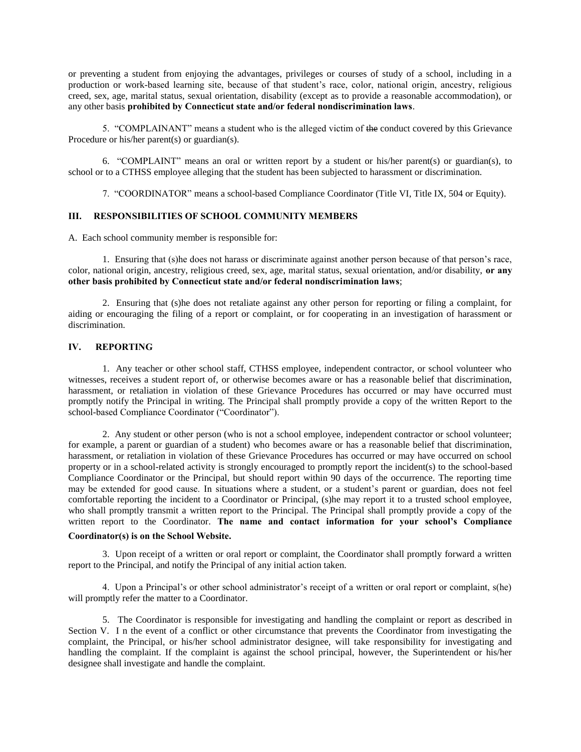or preventing a student from enjoying the advantages, privileges or courses of study of a school, including in a production or work-based learning site, because of that student's race, color, national origin, ancestry, religious creed, sex, age, marital status, sexual orientation, disability (except as to provide a reasonable accommodation), or any other basis **prohibited by Connecticut state and/or federal nondiscrimination laws**.

5. "COMPLAINANT" means a student who is the alleged victim of the conduct covered by this Grievance Procedure or his/her parent(s) or guardian(s).

6."COMPLAINT" means an oral or written report by a student or his/her parent(s) or guardian(s), to school or to a CTHSS employee alleging that the student has been subjected to harassment or discrimination.

7. "COORDINATOR" means a school-based Compliance Coordinator (Title VI, Title IX, 504 or Equity).

#### **III. RESPONSIBILITIES OF SCHOOL COMMUNITY MEMBERS**

A. Each school community member is responsible for:

1. Ensuring that (s)he does not harass or discriminate against another person because of that person's race, color, national origin, ancestry, religious creed, sex, age, marital status, sexual orientation, and/or disability, **or any other basis prohibited by Connecticut state and/or federal nondiscrimination laws**;

2. Ensuring that (s)he does not retaliate against any other person for reporting or filing a complaint, for aiding or encouraging the filing of a report or complaint, or for cooperating in an investigation of harassment or discrimination.

#### **IV. REPORTING**

1. Any teacher or other school staff, CTHSS employee, independent contractor, or school volunteer who witnesses, receives a student report of, or otherwise becomes aware or has a reasonable belief that discrimination, harassment, or retaliation in violation of these Grievance Procedures has occurred or may have occurred must promptly notify the Principal in writing. The Principal shall promptly provide a copy of the written Report to the school-based Compliance Coordinator ("Coordinator").

2. Any student or other person (who is not a school employee, independent contractor or school volunteer; for example, a parent or guardian of a student) who becomes aware or has a reasonable belief that discrimination, harassment, or retaliation in violation of these Grievance Procedures has occurred or may have occurred on school property or in a school-related activity is strongly encouraged to promptly report the incident(s) to the school-based Compliance Coordinator or the Principal, but should report within 90 days of the occurrence. The reporting time may be extended for good cause. In situations where a student, or a student's parent or guardian, does not feel comfortable reporting the incident to a Coordinator or Principal, (s)he may report it to a trusted school employee, who shall promptly transmit a written report to the Principal. The Principal shall promptly provide a copy of the written report to the Coordinator. **The name and contact information for your school's Compliance Coordinator(s) is on the School Website.** 

3. Upon receipt of a written or oral report or complaint, the Coordinator shall promptly forward a written report to the Principal, and notify the Principal of any initial action taken.

4. Upon a Principal's or other school administrator's receipt of a written or oral report or complaint, s(he) will promptly refer the matter to a Coordinator.

5. The Coordinator is responsible for investigating and handling the complaint or report as described in Section V. I n the event of a conflict or other circumstance that prevents the Coordinator from investigating the complaint, the Principal, or his/her school administrator designee, will take responsibility for investigating and handling the complaint. If the complaint is against the school principal, however, the Superintendent or his/her designee shall investigate and handle the complaint.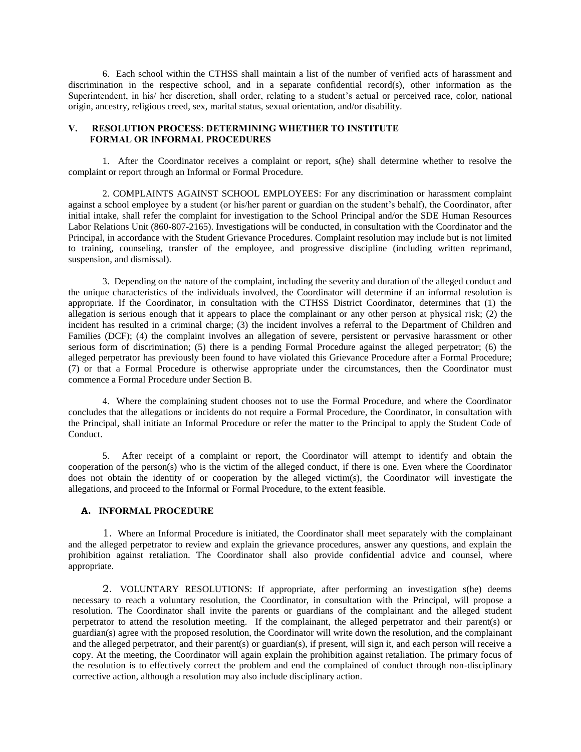6. Each school within the CTHSS shall maintain a list of the number of verified acts of harassment and discrimination in the respective school, and in a separate confidential record(s), other information as the Superintendent, in his/ her discretion, shall order, relating to a student's actual or perceived race, color, national origin, ancestry, religious creed, sex, marital status, sexual orientation, and/or disability.

#### **V. RESOLUTION PROCESS**: **DETERMINING WHETHER TO INSTITUTE FORMAL OR INFORMAL PROCEDURES**

1. After the Coordinator receives a complaint or report, s(he) shall determine whether to resolve the complaint or report through an Informal or Formal Procedure.

2. COMPLAINTS AGAINST SCHOOL EMPLOYEES: For any discrimination or harassment complaint against a school employee by a student (or his/her parent or guardian on the student's behalf), the Coordinator, after initial intake, shall refer the complaint for investigation to the School Principal and/or the SDE Human Resources Labor Relations Unit (860-807-2165). Investigations will be conducted, in consultation with the Coordinator and the Principal, in accordance with the Student Grievance Procedures. Complaint resolution may include but is not limited to training, counseling, transfer of the employee, and progressive discipline (including written reprimand, suspension, and dismissal).

3. Depending on the nature of the complaint, including the severity and duration of the alleged conduct and the unique characteristics of the individuals involved, the Coordinator will determine if an informal resolution is appropriate. If the Coordinator, in consultation with the CTHSS District Coordinator, determines that (1) the allegation is serious enough that it appears to place the complainant or any other person at physical risk; (2) the incident has resulted in a criminal charge; (3) the incident involves a referral to the Department of Children and Families (DCF); (4) the complaint involves an allegation of severe, persistent or pervasive harassment or other serious form of discrimination; (5) there is a pending Formal Procedure against the alleged perpetrator; (6) the alleged perpetrator has previously been found to have violated this Grievance Procedure after a Formal Procedure; (7) or that a Formal Procedure is otherwise appropriate under the circumstances, then the Coordinator must commence a Formal Procedure under Section B.

4. Where the complaining student chooses not to use the Formal Procedure, and where the Coordinator concludes that the allegations or incidents do not require a Formal Procedure, the Coordinator, in consultation with the Principal, shall initiate an Informal Procedure or refer the matter to the Principal to apply the Student Code of Conduct.

5. After receipt of a complaint or report, the Coordinator will attempt to identify and obtain the cooperation of the person(s) who is the victim of the alleged conduct, if there is one. Even where the Coordinator does not obtain the identity of or cooperation by the alleged victim(s), the Coordinator will investigate the allegations, and proceed to the Informal or Formal Procedure, to the extent feasible.

#### **A. INFORMAL PROCEDURE**

1. Where an Informal Procedure is initiated, the Coordinator shall meet separately with the complainant and the alleged perpetrator to review and explain the grievance procedures, answer any questions, and explain the prohibition against retaliation. The Coordinator shall also provide confidential advice and counsel, where appropriate.

2. VOLUNTARY RESOLUTIONS: If appropriate, after performing an investigation s(he) deems necessary to reach a voluntary resolution, the Coordinator, in consultation with the Principal, will propose a resolution. The Coordinator shall invite the parents or guardians of the complainant and the alleged student perpetrator to attend the resolution meeting. If the complainant, the alleged perpetrator and their parent(s) or guardian(s) agree with the proposed resolution, the Coordinator will write down the resolution, and the complainant and the alleged perpetrator, and their parent(s) or guardian(s), if present, will sign it, and each person will receive a copy. At the meeting, the Coordinator will again explain the prohibition against retaliation. The primary focus of the resolution is to effectively correct the problem and end the complained of conduct through non-disciplinary corrective action, although a resolution may also include disciplinary action.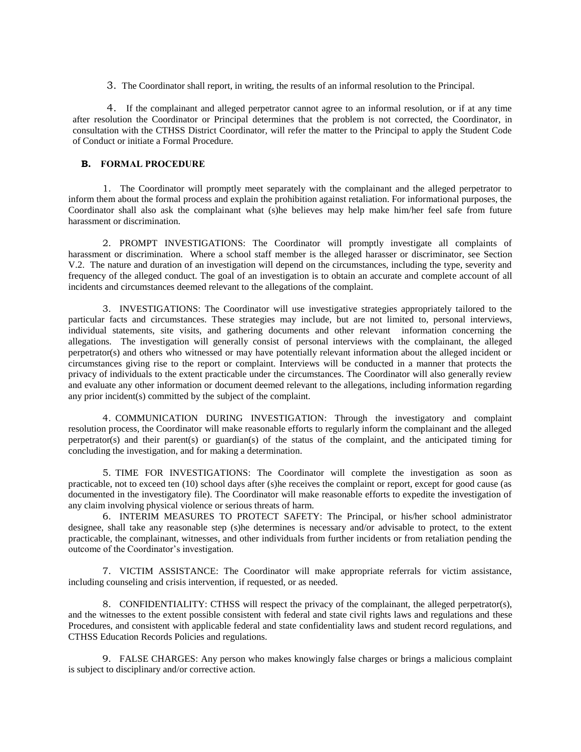3. The Coordinator shall report, in writing, the results of an informal resolution to the Principal.

4. If the complainant and alleged perpetrator cannot agree to an informal resolution, or if at any time after resolution the Coordinator or Principal determines that the problem is not corrected, the Coordinator, in consultation with the CTHSS District Coordinator, will refer the matter to the Principal to apply the Student Code of Conduct or initiate a Formal Procedure.

#### **B. FORMAL PROCEDURE**

1. The Coordinator will promptly meet separately with the complainant and the alleged perpetrator to inform them about the formal process and explain the prohibition against retaliation. For informational purposes, the Coordinator shall also ask the complainant what (s)he believes may help make him/her feel safe from future harassment or discrimination.

2. PROMPT INVESTIGATIONS: The Coordinator will promptly investigate all complaints of harassment or discrimination. Where a school staff member is the alleged harasser or discriminator, see Section V.2. The nature and duration of an investigation will depend on the circumstances, including the type, severity and frequency of the alleged conduct. The goal of an investigation is to obtain an accurate and complete account of all incidents and circumstances deemed relevant to the allegations of the complaint.

3. INVESTIGATIONS: The Coordinator will use investigative strategies appropriately tailored to the particular facts and circumstances. These strategies may include, but are not limited to, personal interviews, individual statements, site visits, and gathering documents and other relevant information concerning the allegations. The investigation will generally consist of personal interviews with the complainant, the alleged perpetrator(s) and others who witnessed or may have potentially relevant information about the alleged incident or circumstances giving rise to the report or complaint. Interviews will be conducted in a manner that protects the privacy of individuals to the extent practicable under the circumstances. The Coordinator will also generally review and evaluate any other information or document deemed relevant to the allegations, including information regarding any prior incident(s) committed by the subject of the complaint.

4. COMMUNICATION DURING INVESTIGATION: Through the investigatory and complaint resolution process, the Coordinator will make reasonable efforts to regularly inform the complainant and the alleged perpetrator(s) and their parent(s) or guardian(s) of the status of the complaint, and the anticipated timing for concluding the investigation, and for making a determination.

5. TIME FOR INVESTIGATIONS: The Coordinator will complete the investigation as soon as practicable, not to exceed ten (10) school days after (s)he receives the complaint or report, except for good cause (as documented in the investigatory file). The Coordinator will make reasonable efforts to expedite the investigation of any claim involving physical violence or serious threats of harm.

6. INTERIM MEASURES TO PROTECT SAFETY: The Principal, or his/her school administrator designee, shall take any reasonable step (s)he determines is necessary and/or advisable to protect, to the extent practicable, the complainant, witnesses, and other individuals from further incidents or from retaliation pending the outcome of the Coordinator's investigation.

7. VICTIM ASSISTANCE: The Coordinator will make appropriate referrals for victim assistance, including counseling and crisis intervention, if requested, or as needed.

8. CONFIDENTIALITY: CTHSS will respect the privacy of the complainant, the alleged perpetrator(s), and the witnesses to the extent possible consistent with federal and state civil rights laws and regulations and these Procedures, and consistent with applicable federal and state confidentiality laws and student record regulations, and CTHSS Education Records Policies and regulations.

9. FALSE CHARGES: Any person who makes knowingly false charges or brings a malicious complaint is subject to disciplinary and/or corrective action.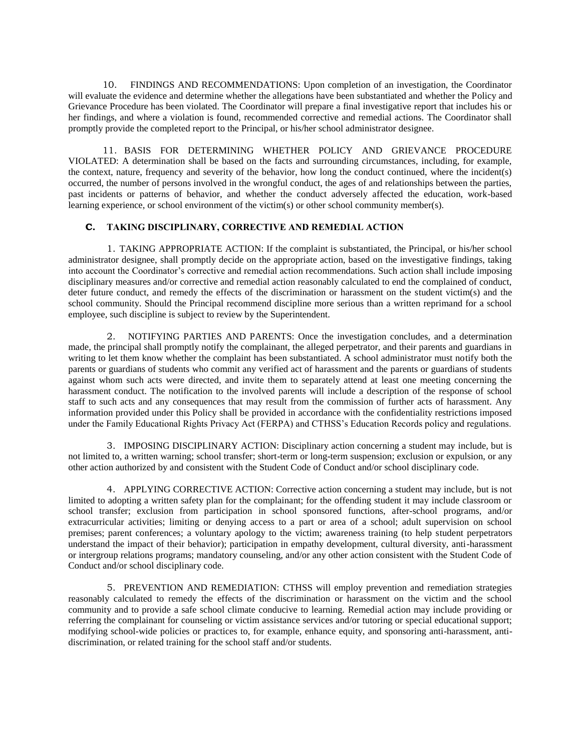10. FINDINGS AND RECOMMENDATIONS: Upon completion of an investigation, the Coordinator will evaluate the evidence and determine whether the allegations have been substantiated and whether the Policy and Grievance Procedure has been violated. The Coordinator will prepare a final investigative report that includes his or her findings, and where a violation is found, recommended corrective and remedial actions. The Coordinator shall promptly provide the completed report to the Principal, or his/her school administrator designee.

11. BASIS FOR DETERMINING WHETHER POLICY AND GRIEVANCE PROCEDURE VIOLATED: A determination shall be based on the facts and surrounding circumstances, including, for example, the context, nature, frequency and severity of the behavior, how long the conduct continued, where the incident(s) occurred, the number of persons involved in the wrongful conduct, the ages of and relationships between the parties, past incidents or patterns of behavior, and whether the conduct adversely affected the education, work-based learning experience, or school environment of the victim(s) or other school community member(s).

### **C. TAKING DISCIPLINARY, CORRECTIVE AND REMEDIAL ACTION**

1. TAKING APPROPRIATE ACTION: If the complaint is substantiated, the Principal, or his/her school administrator designee, shall promptly decide on the appropriate action, based on the investigative findings, taking into account the Coordinator's corrective and remedial action recommendations. Such action shall include imposing disciplinary measures and/or corrective and remedial action reasonably calculated to end the complained of conduct, deter future conduct, and remedy the effects of the discrimination or harassment on the student victim(s) and the school community. Should the Principal recommend discipline more serious than a written reprimand for a school employee, such discipline is subject to review by the Superintendent.

2. NOTIFYING PARTIES AND PARENTS: Once the investigation concludes, and a determination made, the principal shall promptly notify the complainant, the alleged perpetrator, and their parents and guardians in writing to let them know whether the complaint has been substantiated. A school administrator must notify both the parents or guardians of students who commit any verified act of harassment and the parents or guardians of students against whom such acts were directed, and invite them to separately attend at least one meeting concerning the harassment conduct. The notification to the involved parents will include a description of the response of school staff to such acts and any consequences that may result from the commission of further acts of harassment. Any information provided under this Policy shall be provided in accordance with the confidentiality restrictions imposed under the Family Educational Rights Privacy Act (FERPA) and CTHSS's Education Records policy and regulations.

3. IMPOSING DISCIPLINARY ACTION: Disciplinary action concerning a student may include, but is not limited to, a written warning; school transfer; short-term or long-term suspension; exclusion or expulsion, or any other action authorized by and consistent with the Student Code of Conduct and/or school disciplinary code.

4. APPLYING CORRECTIVE ACTION: Corrective action concerning a student may include, but is not limited to adopting a written safety plan for the complainant; for the offending student it may include classroom or school transfer; exclusion from participation in school sponsored functions, after-school programs, and/or extracurricular activities; limiting or denying access to a part or area of a school; adult supervision on school premises; parent conferences; a voluntary apology to the victim; awareness training (to help student perpetrators understand the impact of their behavior); participation in empathy development, cultural diversity, anti-harassment or intergroup relations programs; mandatory counseling, and/or any other action consistent with the Student Code of Conduct and/or school disciplinary code.

5. PREVENTION AND REMEDIATION: CTHSS will employ prevention and remediation strategies reasonably calculated to remedy the effects of the discrimination or harassment on the victim and the school community and to provide a safe school climate conducive to learning. Remedial action may include providing or referring the complainant for counseling or victim assistance services and/or tutoring or special educational support; modifying school-wide policies or practices to, for example, enhance equity, and sponsoring anti-harassment, antidiscrimination, or related training for the school staff and/or students.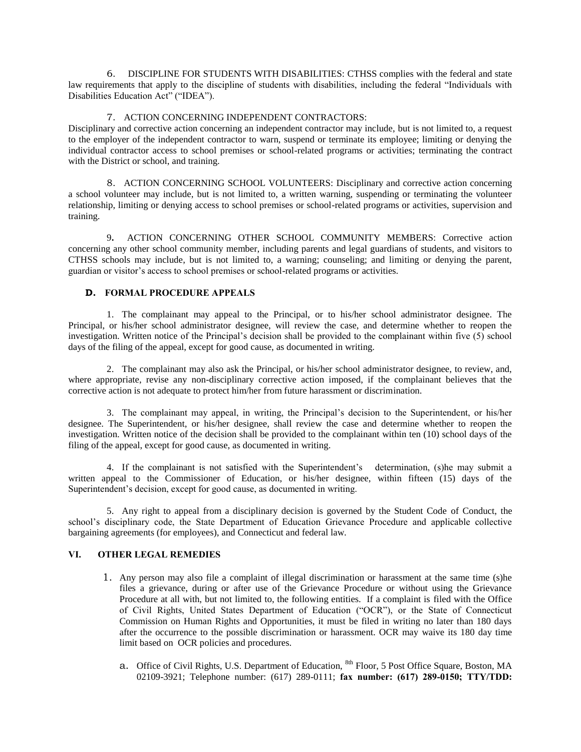6. DISCIPLINE FOR STUDENTS WITH DISABILITIES: CTHSS complies with the federal and state law requirements that apply to the discipline of students with disabilities, including the federal "Individuals with Disabilities Education Act" ("IDEA").

## 7. ACTION CONCERNING INDEPENDENT CONTRACTORS:

Disciplinary and corrective action concerning an independent contractor may include, but is not limited to, a request to the employer of the independent contractor to warn, suspend or terminate its employee; limiting or denying the individual contractor access to school premises or school-related programs or activities; terminating the contract with the District or school, and training.

8. ACTION CONCERNING SCHOOL VOLUNTEERS: Disciplinary and corrective action concerning a school volunteer may include, but is not limited to, a written warning, suspending or terminating the volunteer relationship, limiting or denying access to school premises or school-related programs or activities, supervision and training.

9**.** ACTION CONCERNING OTHER SCHOOL COMMUNITY MEMBERS: Corrective action concerning any other school community member, including parents and legal guardians of students, and visitors to CTHSS schools may include, but is not limited to, a warning; counseling; and limiting or denying the parent, guardian or visitor's access to school premises or school-related programs or activities.

## **D. FORMAL PROCEDURE APPEALS**

1. The complainant may appeal to the Principal, or to his/her school administrator designee. The Principal, or his/her school administrator designee, will review the case, and determine whether to reopen the investigation. Written notice of the Principal's decision shall be provided to the complainant within five (5) school days of the filing of the appeal, except for good cause, as documented in writing.

2. The complainant may also ask the Principal, or his/her school administrator designee, to review, and, where appropriate, revise any non-disciplinary corrective action imposed, if the complainant believes that the corrective action is not adequate to protect him/her from future harassment or discrimination.

3. The complainant may appeal, in writing, the Principal's decision to the Superintendent, or his/her designee. The Superintendent, or his/her designee, shall review the case and determine whether to reopen the investigation. Written notice of the decision shall be provided to the complainant within ten (10) school days of the filing of the appeal, except for good cause, as documented in writing.

4. If the complainant is not satisfied with the Superintendent's determination, (s)he may submit a written appeal to the Commissioner of Education, or his/her designee, within fifteen (15) days of the Superintendent's decision, except for good cause, as documented in writing.

5. Any right to appeal from a disciplinary decision is governed by the Student Code of Conduct, the school's disciplinary code, the State Department of Education Grievance Procedure and applicable collective bargaining agreements (for employees), and Connecticut and federal law.

## **VI. OTHER LEGAL REMEDIES**

- 1. Any person may also file a complaint of illegal discrimination or harassment at the same time (s)he files a grievance, during or after use of the Grievance Procedure or without using the Grievance Procedure at all with, but not limited to, the following entities. If a complaint is filed with the Office of Civil Rights, United States Department of Education ("OCR"), or the State of Connecticut Commission on Human Rights and Opportunities, it must be filed in writing no later than 180 days after the occurrence to the possible discrimination or harassment. OCR may waive its 180 day time limit based on OCR policies and procedures.
	- a. Office of Civil Rights, U.S. Department of Education, <sup>8th</sup> Floor, 5 Post Office Square, Boston, MA 02109-3921; Telephone number: (617) 289-0111; **fax number: (617) 289-0150; TTY/TDD:**